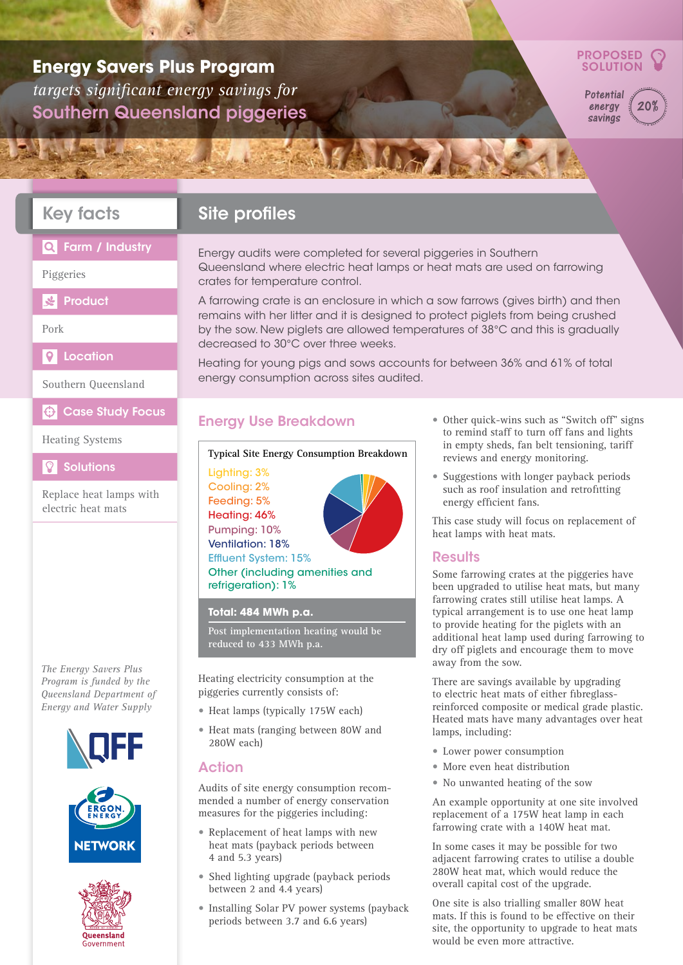## **Energy Savers Plus Program** *targets significant energy savings for*  Southern Queensland piggeries



**Potential** energy savings  $20$ 

### Key facts

## **Site profiles**

#### Farm / Industry  $\Omega$

Piggeries

**SEP**roduct

#### Pork

 $\overline{Q}$ Location

Southern Queensland

 $\bigoplus$  Case Study Focus

#### Heating Systems

**Solutions** 

Replace heat lamps with electric heat mats

*The Energy Savers Plus Program is funded by the Queensland Department of Energy and Water Supply*







Energy audits were completed for several piggeries in Southern Queensland where electric heat lamps or heat mats are used on farrowing crates for temperature control.

SANCIA

A farrowing crate is an enclosure in which a sow farrows (gives birth) and then remains with her litter and it is designed to protect piglets from being crushed by the sow. New piglets are allowed temperatures of 38°C and this is gradually decreased to 30°C over three weeks.

Heating for young pigs and sows accounts for between 36% and 61% of total energy consumption across sites audited.

### Energy Use Breakdown

#### **Typical Site Energy Consumption Breakdown**

Lighting: 3% Cooling: 2% Feeding: 5% Heating: 46% Pumping: 10%

Ventilation: 18%



Effluent System: 15% Other (including amenities and refrigeration): 1%

#### **Total: 484 MWh p.a.**

**Post implementation heating would be reduced to 433 MWh p.a.**

Heating electricity consumption at the piggeries currently consists of:

- • Heat lamps (typically 175W each)
- • Heat mats (ranging between 80W and 280W each)

### Action

Audits of site energy consumption recommended a number of energy conservation measures for the piggeries including:

- Replacement of heat lamps with new heat mats (payback periods between 4 and 5.3 years)
- Shed lighting upgrade (payback periods between 2 and 4.4 years)
- • Installing Solar PV power systems (payback periods between 3.7 and 6.6 years)
- Other quick-wins such as "Switch off" signs to remind staff to turn off fans and lights in empty sheds, fan belt tensioning, tariff reviews and energy monitoring.
- Suggestions with longer payback periods such as roof insulation and retrofitting energy efficient fans.

This case study will focus on replacement of heat lamps with heat mats.

#### **Results**

Some farrowing crates at the piggeries have been upgraded to utilise heat mats, but many farrowing crates still utilise heat lamps. A typical arrangement is to use one heat lamp to provide heating for the piglets with an additional heat lamp used during farrowing to dry off piglets and encourage them to move away from the sow.

There are savings available by upgrading to electric heat mats of either fibreglassreinforced composite or medical grade plastic. Heated mats have many advantages over heat lamps, including:

- • Lower power consumption
- More even heat distribution
- No unwanted heating of the sow

An example opportunity at one site involved replacement of a 175W heat lamp in each farrowing crate with a 140W heat mat.

In some cases it may be possible for two adjacent farrowing crates to utilise a double 280W heat mat, which would reduce the overall capital cost of the upgrade.

One site is also trialling smaller 80W heat mats. If this is found to be effective on their site, the opportunity to upgrade to heat mats would be even more attractive.